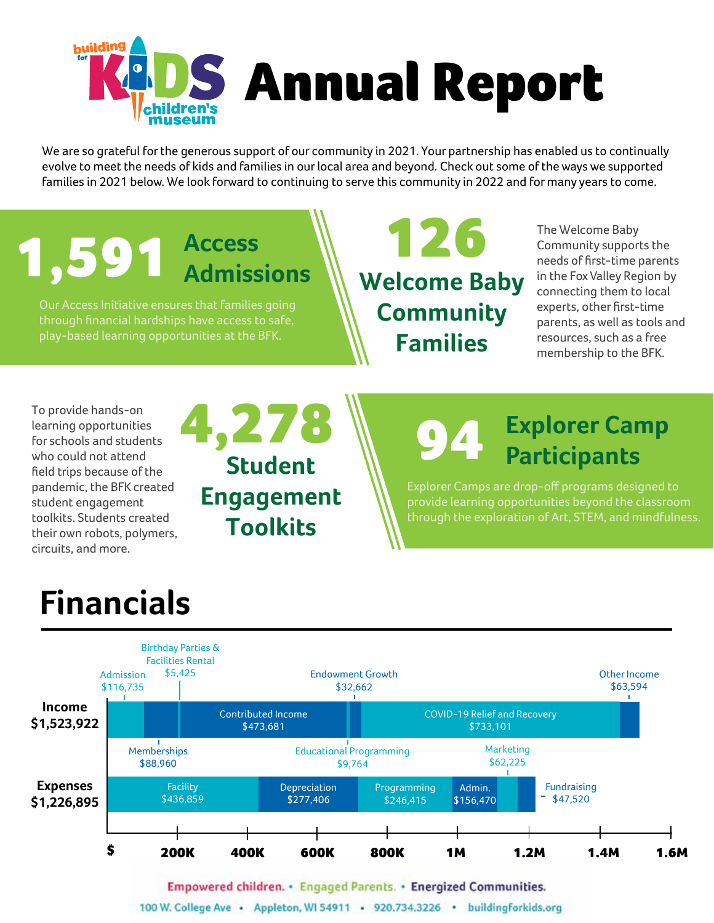

We are so grateful for the generous support of our community in 2021. Your partnership has enabled us to continually evolve to meet the needs of kids and families in our local area and beyond. Check out some of the ways we supported families in 2021 below. We look forward to continuing to serve this community in 2022 and for many years to come.





Empowered children. • Engaged Parents. • Energized Communities.

100 W. College Ave · Appleton, WI 54911 · 920.734.3226 · buildingforkids.org